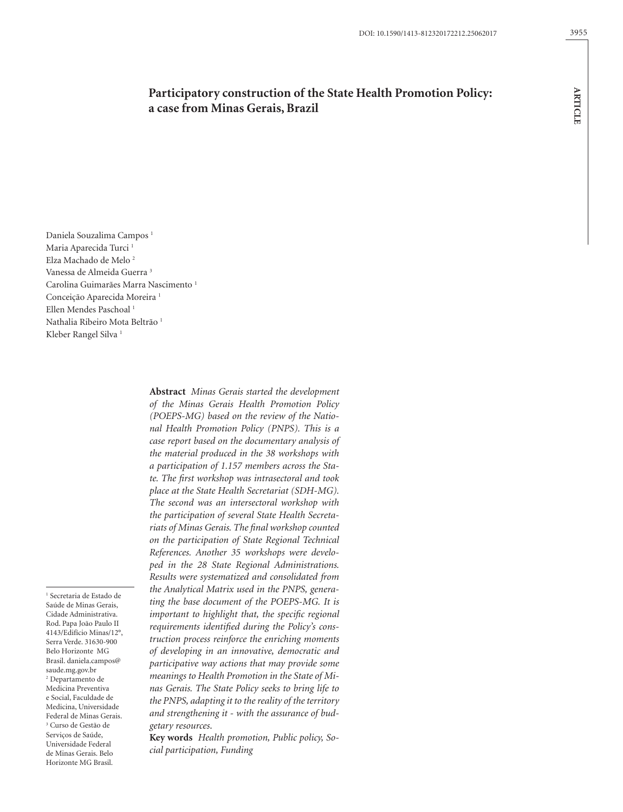**ARTICLE**

**ARTICLE** 

# **Participatory construction of the State Health Promotion Policy: a case from Minas Gerais, Brazil**

Daniela Souzalima Campos<sup>1</sup> Maria Aparecida Turci<sup>1</sup> Elza Machado de Melo 2 Vanessa de Almeida Guerra 3 Carolina Guimarães Marra Nascimento<sup>1</sup> Conceição Aparecida Moreira<sup>1</sup> Ellen Mendes Paschoal<sup>1</sup> Nathalia Ribeiro Mota Beltrão<sup>1</sup> Kleber Rangel Silva<sup>1</sup>

1 Secretaria de Estado de Saúde de Minas Gerais, Cidade Administrativa. Rod. Papa João Paulo II 4143/Edifício Minas/12°, Serra Verde. 31630-900 Belo Horizonte MG Brasil. daniela.campos@ saude.mg.gov.br 2 Departamento de Medicina Preventiva e Social, Faculdade de Medicina, Universidade Federal de Minas Gerais. 3 Curso de Gestão de Serviços de Saúde, Universidade Federal de Minas Gerais. Belo Horizonte MG Brasil.

**Abstract** *Minas Gerais started the development of the Minas Gerais Health Promotion Policy (POEPS-MG) based on the review of the National Health Promotion Policy (PNPS). This is a case report based on the documentary analysis of the material produced in the 38 workshops with a participation of 1.157 members across the State. The first workshop was intrasectoral and took place at the State Health Secretariat (SDH-MG). The second was an intersectoral workshop with the participation of several State Health Secretariats of Minas Gerais. The final workshop counted on the participation of State Regional Technical References. Another 35 workshops were developed in the 28 State Regional Administrations. Results were systematized and consolidated from the Analytical Matrix used in the PNPS, generating the base document of the POEPS-MG. It is important to highlight that, the specific regional requirements identified during the Policy's construction process reinforce the enriching moments of developing in an innovative, democratic and participative way actions that may provide some meanings to Health Promotion in the State of Minas Gerais. The State Policy seeks to bring life to the PNPS, adapting it to the reality of the territory and strengthening it - with the assurance of budgetary resources*.

**Key words** *Health promotion, Public policy, Social participation, Funding*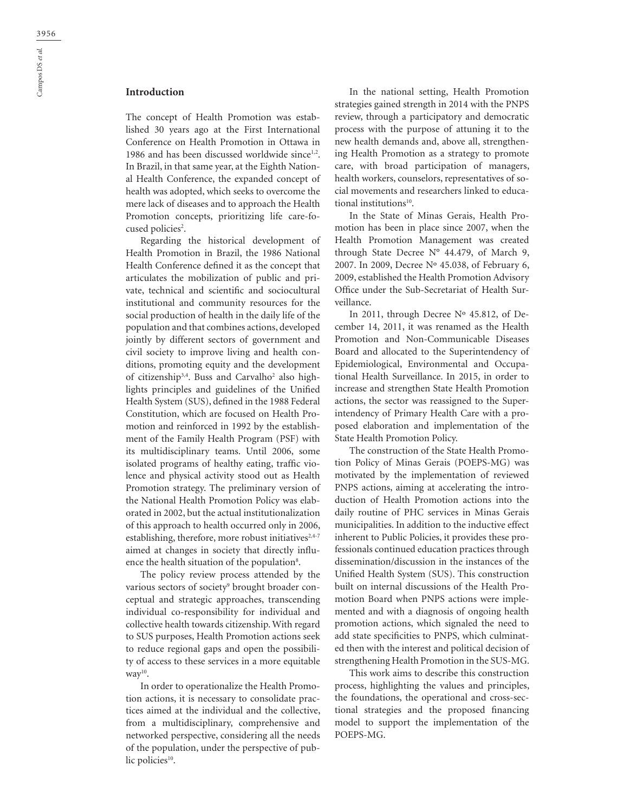## **Introduction**

The concept of Health Promotion was established 30 years ago at the First International Conference on Health Promotion in Ottawa in 1986 and has been discussed worldwide since $1,2$ . In Brazil, in that same year, at the Eighth National Health Conference, the expanded concept of health was adopted, which seeks to overcome the mere lack of diseases and to approach the Health Promotion concepts, prioritizing life care-focused policies<sup>2</sup>.

Regarding the historical development of Health Promotion in Brazil, the 1986 National Health Conference defined it as the concept that articulates the mobilization of public and private, technical and scientific and sociocultural institutional and community resources for the social production of health in the daily life of the population and that combines actions, developed jointly by different sectors of government and civil society to improve living and health conditions, promoting equity and the development of citizenship<sup>3,4</sup>. Buss and Carvalho<sup>2</sup> also highlights principles and guidelines of the Unified Health System (SUS), defined in the 1988 Federal Constitution, which are focused on Health Promotion and reinforced in 1992 by the establishment of the Family Health Program (PSF) with its multidisciplinary teams. Until 2006, some isolated programs of healthy eating, traffic violence and physical activity stood out as Health Promotion strategy. The preliminary version of the National Health Promotion Policy was elaborated in 2002, but the actual institutionalization of this approach to health occurred only in 2006, establishing, therefore, more robust initiatives $2,4-7$ aimed at changes in society that directly influence the health situation of the population<sup>8</sup>.

The policy review process attended by the various sectors of society<sup>9</sup> brought broader conceptual and strategic approaches, transcending individual co-responsibility for individual and collective health towards citizenship. With regard to SUS purposes, Health Promotion actions seek to reduce regional gaps and open the possibility of access to these services in a more equitable  $way<sup>10</sup>$ .

In order to operationalize the Health Promotion actions, it is necessary to consolidate practices aimed at the individual and the collective, from a multidisciplinary, comprehensive and networked perspective, considering all the needs of the population, under the perspective of public policies $10$ .

In the national setting, Health Promotion strategies gained strength in 2014 with the PNPS review, through a participatory and democratic process with the purpose of attuning it to the new health demands and, above all, strengthening Health Promotion as a strategy to promote care, with broad participation of managers, health workers, counselors, representatives of social movements and researchers linked to educational institutions<sup>10</sup>.

In the State of Minas Gerais, Health Promotion has been in place since 2007, when the Health Promotion Management was created through State Decree N° 44.479, of March 9, 2007. In 2009, Decree Nº 45.038, of February 6, 2009, established the Health Promotion Advisory Office under the Sub-Secretariat of Health Surveillance.

In 2011, through Decree Nº 45.812, of December 14, 2011, it was renamed as the Health Promotion and Non-Communicable Diseases Board and allocated to the Superintendency of Epidemiological, Environmental and Occupational Health Surveillance. In 2015, in order to increase and strengthen State Health Promotion actions, the sector was reassigned to the Superintendency of Primary Health Care with a proposed elaboration and implementation of the State Health Promotion Policy.

The construction of the State Health Promotion Policy of Minas Gerais (POEPS-MG) was motivated by the implementation of reviewed PNPS actions, aiming at accelerating the introduction of Health Promotion actions into the daily routine of PHC services in Minas Gerais municipalities. In addition to the inductive effect inherent to Public Policies, it provides these professionals continued education practices through dissemination/discussion in the instances of the Unified Health System (SUS). This construction built on internal discussions of the Health Promotion Board when PNPS actions were implemented and with a diagnosis of ongoing health promotion actions, which signaled the need to add state specificities to PNPS, which culminated then with the interest and political decision of strengthening Health Promotion in the SUS-MG.

This work aims to describe this construction process, highlighting the values and principles, the foundations, the operational and cross-sectional strategies and the proposed financing model to support the implementation of the POEPS-MG.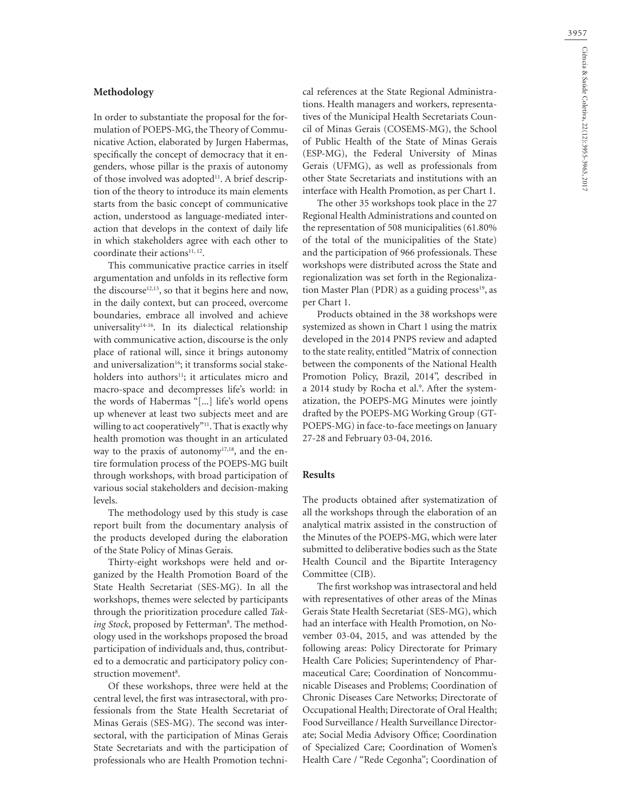### **Methodology**

In order to substantiate the proposal for the formulation of POEPS-MG, the Theory of Communicative Action, elaborated by Jurgen Habermas, specifically the concept of democracy that it engenders, whose pillar is the praxis of autonomy of those involved was adopted<sup>11</sup>. A brief description of the theory to introduce its main elements starts from the basic concept of communicative action, understood as language-mediated interaction that develops in the context of daily life in which stakeholders agree with each other to coordinate their actions<sup>11, 12</sup>.

This communicative practice carries in itself argumentation and unfolds in its reflective form the discourse<sup>12,13</sup>, so that it begins here and now, in the daily context, but can proceed, overcome boundaries, embrace all involved and achieve universality<sup>14-16</sup>. In its dialectical relationship with communicative action, discourse is the only place of rational will, since it brings autonomy and universalization $16$ ; it transforms social stakeholders into authors<sup>11</sup>; it articulates micro and macro-space and decompresses life's world: in the words of Habermas "[...] life's world opens up whenever at least two subjects meet and are willing to act cooperatively"<sup>11</sup>. That is exactly why health promotion was thought in an articulated way to the praxis of autonomy<sup>17,18</sup>, and the entire formulation process of the POEPS-MG built through workshops, with broad participation of various social stakeholders and decision-making levels.

The methodology used by this study is case report built from the documentary analysis of the products developed during the elaboration of the State Policy of Minas Gerais.

Thirty-eight workshops were held and organized by the Health Promotion Board of the State Health Secretariat (SES-MG). In all the workshops, themes were selected by participants through the prioritization procedure called *Tak*ing Stock, proposed by Fetterman<sup>8</sup>. The methodology used in the workshops proposed the broad participation of individuals and, thus, contributed to a democratic and participatory policy construction movement<sup>8</sup>.

Of these workshops, three were held at the central level, the first was intrasectoral, with professionals from the State Health Secretariat of Minas Gerais (SES-MG). The second was intersectoral, with the participation of Minas Gerais State Secretariats and with the participation of professionals who are Health Promotion technical references at the State Regional Administrations. Health managers and workers, representatives of the Municipal Health Secretariats Council of Minas Gerais (COSEMS-MG), the School of Public Health of the State of Minas Gerais (ESP-MG), the Federal University of Minas Gerais (UFMG), as well as professionals from other State Secretariats and institutions with an interface with Health Promotion, as per Chart 1.

The other 35 workshops took place in the 27 Regional Health Administrations and counted on the representation of 508 municipalities (61.80% of the total of the municipalities of the State) and the participation of 966 professionals. These workshops were distributed across the State and regionalization was set forth in the Regionalization Master Plan (PDR) as a guiding process $19$ , as per Chart 1.

Products obtained in the 38 workshops were systemized as shown in Chart 1 using the matrix developed in the 2014 PNPS review and adapted to the state reality, entitled "Matrix of connection between the components of the National Health Promotion Policy, Brazil, 2014", described in a 2014 study by Rocha et al.<sup>9</sup>. After the systematization, the POEPS-MG Minutes were jointly drafted by the POEPS-MG Working Group (GT-POEPS-MG) in face-to-face meetings on January 27-28 and February 03-04, 2016.

### **Results**

The products obtained after systematization of all the workshops through the elaboration of an analytical matrix assisted in the construction of the Minutes of the POEPS-MG, which were later submitted to deliberative bodies such as the State Health Council and the Bipartite Interagency Committee (CIB).

The first workshop was intrasectoral and held with representatives of other areas of the Minas Gerais State Health Secretariat (SES-MG), which had an interface with Health Promotion, on November 03-04, 2015, and was attended by the following areas: Policy Directorate for Primary Health Care Policies; Superintendency of Pharmaceutical Care; Coordination of Noncommunicable Diseases and Problems; Coordination of Chronic Diseases Care Networks; Directorate of Occupational Health; Directorate of Oral Health; Food Surveillance / Health Surveillance Directorate; Social Media Advisory Office; Coordination of Specialized Care; Coordination of Women's Health Care / "Rede Cegonha"; Coordination of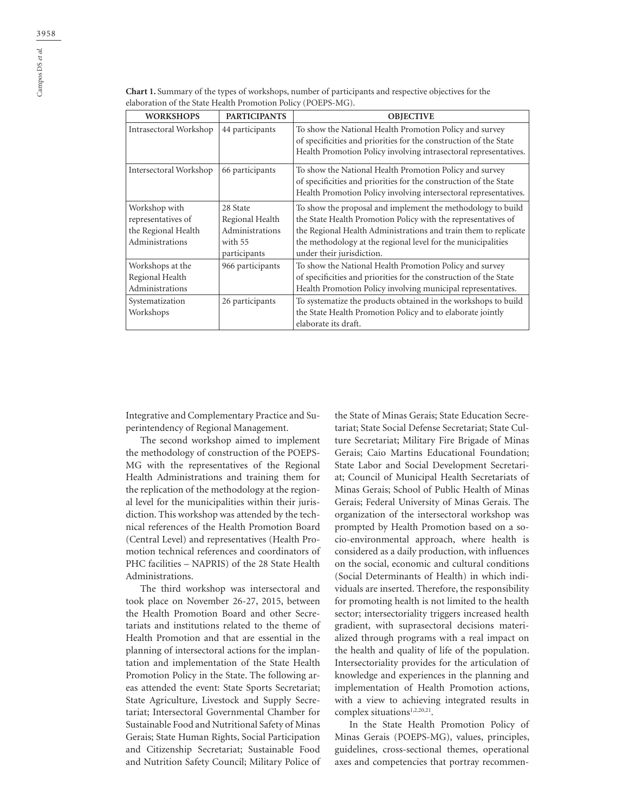| <b>Chart 1.</b> Summary of the types of workshops, number of participants and respective objectives for the |
|-------------------------------------------------------------------------------------------------------------|

| <b>WORKSHOPS</b>                                                              | <b>PARTICIPANTS</b>                                                       | <b>OBJECTIVE</b>                                                                                                                                                                                                                                                                             |
|-------------------------------------------------------------------------------|---------------------------------------------------------------------------|----------------------------------------------------------------------------------------------------------------------------------------------------------------------------------------------------------------------------------------------------------------------------------------------|
| Intrasectoral Workshop                                                        | 44 participants                                                           | To show the National Health Promotion Policy and survey<br>of specificities and priorities for the construction of the State<br>Health Promotion Policy involving intrasectoral representatives.                                                                                             |
| Intersectoral Workshop                                                        | 66 participants                                                           | To show the National Health Promotion Policy and survey<br>of specificities and priorities for the construction of the State<br>Health Promotion Policy involving intersectoral representatives.                                                                                             |
| Workshop with<br>representatives of<br>the Regional Health<br>Administrations | 28 State<br>Regional Health<br>Administrations<br>with 55<br>participants | To show the proposal and implement the methodology to build<br>the State Health Promotion Policy with the representatives of<br>the Regional Health Administrations and train them to replicate<br>the methodology at the regional level for the municipalities<br>under their jurisdiction. |
| Workshops at the<br>Regional Health<br>Administrations                        | 966 participants                                                          | To show the National Health Promotion Policy and survey<br>of specificities and priorities for the construction of the State<br>Health Promotion Policy involving municipal representatives.                                                                                                 |
| Systematization<br>Workshops                                                  | 26 participants                                                           | To systematize the products obtained in the workshops to build<br>the State Health Promotion Policy and to elaborate jointly<br>elaborate its draft.                                                                                                                                         |

Integrative and Complementary Practice and Superintendency of Regional Management.

The second workshop aimed to implement the methodology of construction of the POEPS-MG with the representatives of the Regional Health Administrations and training them for the replication of the methodology at the regional level for the municipalities within their jurisdiction. This workshop was attended by the technical references of the Health Promotion Board (Central Level) and representatives (Health Promotion technical references and coordinators of PHC facilities – NAPRIS) of the 28 State Health Administrations.

The third workshop was intersectoral and took place on November 26-27, 2015, between the Health Promotion Board and other Secretariats and institutions related to the theme of Health Promotion and that are essential in the planning of intersectoral actions for the implantation and implementation of the State Health Promotion Policy in the State. The following areas attended the event: State Sports Secretariat; State Agriculture, Livestock and Supply Secretariat; Intersectoral Governmental Chamber for Sustainable Food and Nutritional Safety of Minas Gerais; State Human Rights, Social Participation and Citizenship Secretariat; Sustainable Food and Nutrition Safety Council; Military Police of the State of Minas Gerais; State Education Secretariat; State Social Defense Secretariat; State Culture Secretariat; Military Fire Brigade of Minas Gerais; Caio Martins Educational Foundation; State Labor and Social Development Secretariat; Council of Municipal Health Secretariats of Minas Gerais; School of Public Health of Minas Gerais; Federal University of Minas Gerais. The organization of the intersectoral workshop was prompted by Health Promotion based on a socio-environmental approach, where health is considered as a daily production, with influences on the social, economic and cultural conditions (Social Determinants of Health) in which individuals are inserted. Therefore, the responsibility for promoting health is not limited to the health sector; intersectoriality triggers increased health gradient, with suprasectoral decisions materialized through programs with a real impact on the health and quality of life of the population. Intersectoriality provides for the articulation of knowledge and experiences in the planning and implementation of Health Promotion actions, with a view to achieving integrated results in complex situations<sup>1,2,20,21</sup>.

In the State Health Promotion Policy of Minas Gerais (POEPS-MG), values, principles, guidelines, cross-sectional themes, operational axes and competencies that portray recommen-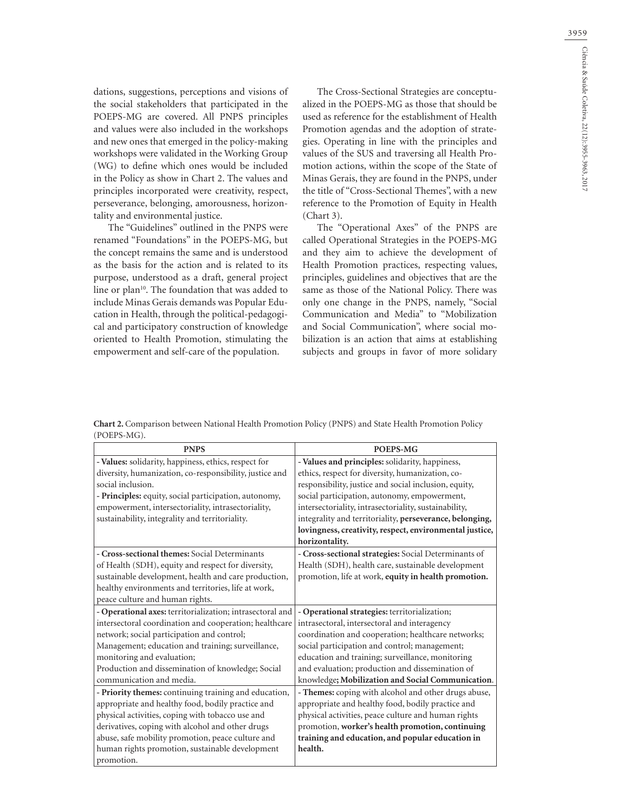3959

dations, suggestions, perceptions and visions of the social stakeholders that participated in the POEPS-MG are covered. All PNPS principles and values were also included in the workshops and new ones that emerged in the policy-making workshops were validated in the Working Group (WG) to define which ones would be included in the Policy as show in Chart 2. The values and principles incorporated were creativity, respect, perseverance, belonging, amorousness, horizontality and environmental justice.

The "Guidelines" outlined in the PNPS were renamed "Foundations" in the POEPS-MG, but the concept remains the same and is understood as the basis for the action and is related to its purpose, understood as a draft, general project line or plan<sup>10</sup>. The foundation that was added to include Minas Gerais demands was Popular Education in Health, through the political-pedagogical and participatory construction of knowledge oriented to Health Promotion, stimulating the empowerment and self-care of the population.

The Cross-Sectional Strategies are conceptualized in the POEPS-MG as those that should be used as reference for the establishment of Health Promotion agendas and the adoption of strategies. Operating in line with the principles and values of the SUS and traversing all Health Promotion actions, within the scope of the State of Minas Gerais, they are found in the PNPS, under the title of "Cross-Sectional Themes", with a new reference to the Promotion of Equity in Health (Chart 3).

The "Operational Axes" of the PNPS are called Operational Strategies in the POEPS-MG and they aim to achieve the development of Health Promotion practices, respecting values, principles, guidelines and objectives that are the same as those of the National Policy. There was only one change in the PNPS, namely, "Social Communication and Media" to "Mobilization and Social Communication", where social mobilization is an action that aims at establishing subjects and groups in favor of more solidary

**Chart 2.** Comparison between National Health Promotion Policy (PNPS) and State Health Promotion Policy (POEPS-MG).

| <b>PNPS</b>                                               | POEPS-MG                                                 |
|-----------------------------------------------------------|----------------------------------------------------------|
| - Values: solidarity, happiness, ethics, respect for      | - Values and principles: solidarity, happiness,          |
| diversity, humanization, co-responsibility, justice and   | ethics, respect for diversity, humanization, co-         |
| social inclusion.                                         | responsibility, justice and social inclusion, equity,    |
| - Principles: equity, social participation, autonomy,     | social participation, autonomy, empowerment,             |
| empowerment, intersectoriality, intrasectoriality,        | intersectoriality, intrasectoriality, sustainability,    |
| sustainability, integrality and territoriality.           | integrality and territoriality, perseverance, belonging, |
|                                                           | lovingness, creativity, respect, environmental justice,  |
|                                                           | horizontality.                                           |
| - Cross-sectional themes: Social Determinants             | - Cross-sectional strategies: Social Determinants of     |
| of Health (SDH), equity and respect for diversity,        | Health (SDH), health care, sustainable development       |
| sustainable development, health and care production,      | promotion, life at work, equity in health promotion.     |
| healthy environments and territories, life at work,       |                                                          |
| peace culture and human rights.                           |                                                          |
| - Operational axes: territorialization; intrasectoral and | - Operational strategies: territorialization;            |
| intersectoral coordination and cooperation; healthcare    | intrasectoral, intersectoral and interagency             |
| network; social participation and control;                | coordination and cooperation; healthcare networks;       |
| Management; education and training; surveillance,         | social participation and control; management;            |
| monitoring and evaluation;                                | education and training; surveillance, monitoring         |
| Production and dissemination of knowledge; Social         | and evaluation; production and dissemination of          |
| communication and media.                                  | knowledge; Mobilization and Social Communication.        |
| - Priority themes: continuing training and education,     | - Themes: coping with alcohol and other drugs abuse,     |
| appropriate and healthy food, bodily practice and         | appropriate and healthy food, bodily practice and        |
| physical activities, coping with tobacco use and          | physical activities, peace culture and human rights      |
| derivatives, coping with alcohol and other drugs          | promotion, worker's health promotion, continuing         |
| abuse, safe mobility promotion, peace culture and         | training and education, and popular education in         |
| human rights promotion, sustainable development           | health.                                                  |
| promotion.                                                |                                                          |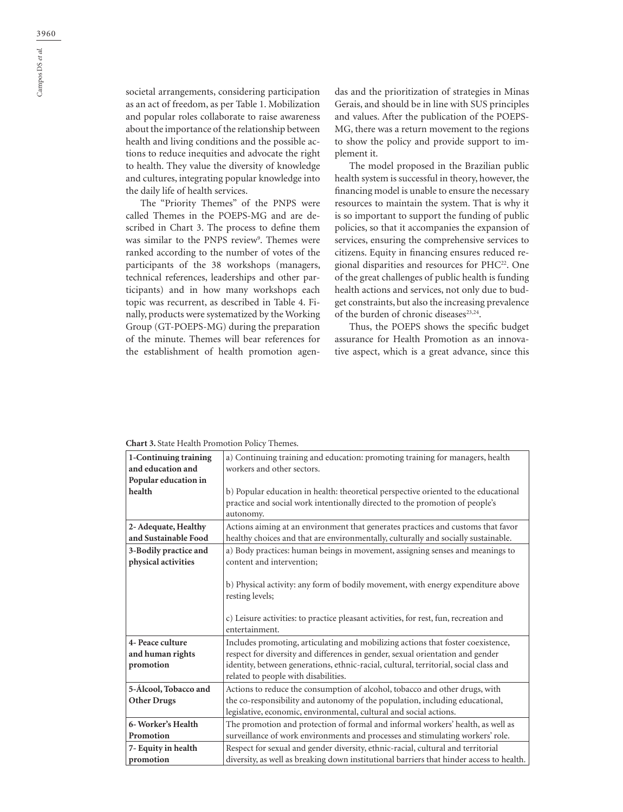societal arrangements, considering participation as an act of freedom, as per Table 1. Mobilization and popular roles collaborate to raise awareness about the importance of the relationship between health and living conditions and the possible actions to reduce inequities and advocate the right to health. They value the diversity of knowledge and cultures, integrating popular knowledge into the daily life of health services.

The "Priority Themes" of the PNPS were called Themes in the POEPS-MG and are described in Chart 3. The process to define them was similar to the PNPS review<sup>9</sup>. Themes were ranked according to the number of votes of the participants of the 38 workshops (managers, technical references, leaderships and other participants) and in how many workshops each topic was recurrent, as described in Table 4. Finally, products were systematized by the Working Group (GT-POEPS-MG) during the preparation of the minute. Themes will bear references for the establishment of health promotion agendas and the prioritization of strategies in Minas Gerais, and should be in line with SUS principles and values. After the publication of the POEPS-MG, there was a return movement to the regions to show the policy and provide support to implement it.

The model proposed in the Brazilian public health system is successful in theory, however, the financing model is unable to ensure the necessary resources to maintain the system. That is why it is so important to support the funding of public policies, so that it accompanies the expansion of services, ensuring the comprehensive services to citizens. Equity in financing ensures reduced regional disparities and resources for PHC22. One of the great challenges of public health is funding health actions and services, not only due to budget constraints, but also the increasing prevalence of the burden of chronic diseases<sup>23,24</sup>.

Thus, the POEPS shows the specific budget assurance for Health Promotion as an innovative aspect, which is a great advance, since this

| <b>Chart 3.</b> State Health Promotion Policy Themes. |  |  |  |
|-------------------------------------------------------|--|--|--|
|-------------------------------------------------------|--|--|--|

| 1-Continuing training | a) Continuing training and education: promoting training for managers, health            |
|-----------------------|------------------------------------------------------------------------------------------|
| and education and     | workers and other sectors.                                                               |
| Popular education in  |                                                                                          |
| health                | b) Popular education in health: theoretical perspective oriented to the educational      |
|                       | practice and social work intentionally directed to the promotion of people's             |
|                       | autonomy.                                                                                |
| 2- Adequate, Healthy  | Actions aiming at an environment that generates practices and customs that favor         |
| and Sustainable Food  | healthy choices and that are environmentally, culturally and socially sustainable.       |
| 3-Bodily practice and | a) Body practices: human beings in movement, assigning senses and meanings to            |
| physical activities   | content and intervention;                                                                |
|                       |                                                                                          |
|                       | b) Physical activity: any form of bodily movement, with energy expenditure above         |
|                       | resting levels;                                                                          |
|                       |                                                                                          |
|                       | c) Leisure activities: to practice pleasant activities, for rest, fun, recreation and    |
|                       | entertainment.                                                                           |
| 4- Peace culture      | Includes promoting, articulating and mobilizing actions that foster coexistence,         |
| and human rights      | respect for diversity and differences in gender, sexual orientation and gender           |
|                       |                                                                                          |
| promotion             | identity, between generations, ethnic-racial, cultural, territorial, social class and    |
|                       | related to people with disabilities.                                                     |
| 5-Álcool, Tobacco and | Actions to reduce the consumption of alcohol, tobacco and other drugs, with              |
| <b>Other Drugs</b>    | the co-responsibility and autonomy of the population, including educational,             |
|                       | legislative, economic, environmental, cultural and social actions.                       |
| 6- Worker's Health    | The promotion and protection of formal and informal workers' health, as well as          |
| Promotion             | surveillance of work environments and processes and stimulating workers' role.           |
| 7- Equity in health   | Respect for sexual and gender diversity, ethnic-racial, cultural and territorial         |
| promotion             | diversity, as well as breaking down institutional barriers that hinder access to health. |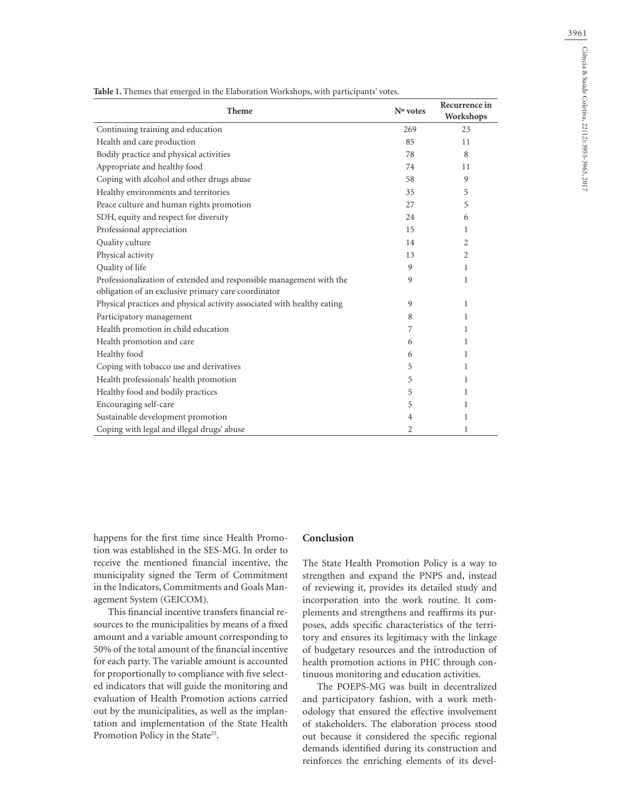3961

| Theme                                                                   | Nº votes | Recurrence in<br>Workshops |
|-------------------------------------------------------------------------|----------|----------------------------|
| Continuing training and education                                       | 269      | 23                         |
| Health and care production                                              | 85       | 11                         |
| Bodily practice and physical activities                                 | 78       | 8                          |
| Appropriate and healthy food                                            | 74       | 11                         |
| Coping with alcohol and other drugs abuse                               | 58       | 9                          |
| Healthy environments and territories                                    | 35       | 5                          |
| Peace culture and human rights promotion                                | 27       | 5                          |
| SDH, equity and respect for diversity                                   | 24       | 6                          |
| Professional appreciation                                               | 15       | 1                          |
| Quality culture                                                         | 14       | $\overline{2}$             |
| Physical activity                                                       | 13       | $\overline{2}$             |
| Quality of life                                                         | 9        | 1                          |
| Professionalization of extended and responsible management with the     | 9        | 1                          |
| obligation of an exclusive primary care coordinator                     |          |                            |
| Physical practices and physical activity associated with healthy eating | 9        | 1                          |
| Participatory management                                                | 8        | 1                          |
| Health promotion in child education                                     | 7        | 1                          |
| Health promotion and care                                               | 6        | 1                          |
| Healthy food                                                            | 6        | 1                          |
| Coping with tobacco use and derivatives                                 | 5        | 1                          |
| Health professionals' health promotion                                  | 5        | 1                          |
| Healthy food and bodily practices                                       | 5        | 1                          |
| Encouraging self-care                                                   | 5        | 1                          |
| Sustainable development promotion                                       | 4        | 1                          |
| Coping with legal and illegal drugs' abuse                              | 2        | 1                          |

**Table 1.** Themes that emerged in the Elaboration Workshops, with participants' votes.

happens for the first time since Health Promotion was established in the SES-MG. In order to receive the mentioned financial incentive, the municipality signed the Term of Commitment in the Indicators, Commitments and Goals Management System (GEICOM).

This financial incentive transfers financial resources to the municipalities by means of a fixed amount and a variable amount corresponding to 50% of the total amount of the financial incentive for each party. The variable amount is accounted for proportionally to compliance with five selected indicators that will guide the monitoring and evaluation of Health Promotion actions carried out by the municipalities, as well as the implantation and implementation of the State Health Promotion Policy in the State<sup>25</sup>.

### **Conclusion**

The State Health Promotion Policy is a way to strengthen and expand the PNPS and, instead of reviewing it, provides its detailed study and incorporation into the work routine. It complements and strengthens and reaffirms its purposes, adds specific characteristics of the territory and ensures its legitimacy with the linkage of budgetary resources and the introduction of health promotion actions in PHC through continuous monitoring and education activities.

The POEPS-MG was built in decentralized and participatory fashion, with a work methodology that ensured the effective involvement of stakeholders. The elaboration process stood out because it considered the specific regional demands identified during its construction and reinforces the enriching elements of its devel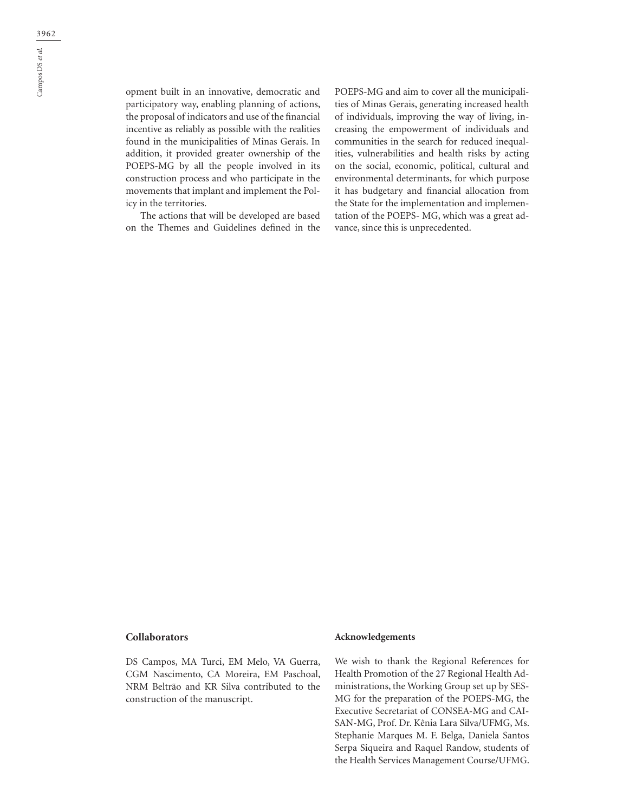opment built in an innovative, democratic and participatory way, enabling planning of actions, the proposal of indicators and use of the financial incentive as reliably as possible with the realities found in the municipalities of Minas Gerais. In addition, it provided greater ownership of the POEPS-MG by all the people involved in its construction process and who participate in the movements that implant and implement the Policy in the territories.

The actions that will be developed are based on the Themes and Guidelines defined in the POEPS-MG and aim to cover all the municipalities of Minas Gerais, generating increased health of individuals, improving the way of living, increasing the empowerment of individuals and communities in the search for reduced inequalities, vulnerabilities and health risks by acting on the social, economic, political, cultural and environmental determinants, for which purpose it has budgetary and financial allocation from the State for the implementation and implementation of the POEPS- MG, which was a great advance, since this is unprecedented.

#### **Collaborators**

DS Campos, MA Turci, EM Melo, VA Guerra, CGM Nascimento, CA Moreira, EM Paschoal, NRM Beltrão and KR Silva contributed to the construction of the manuscript.

#### **Acknowledgements**

We wish to thank the Regional References for Health Promotion of the 27 Regional Health Administrations, the Working Group set up by SES-MG for the preparation of the POEPS-MG, the Executive Secretariat of CONSEA-MG and CAI-SAN-MG, Prof. Dr. Kênia Lara Silva/UFMG, Ms. Stephanie Marques M. F. Belga, Daniela Santos Serpa Siqueira and Raquel Randow, students of the Health Services Management Course/UFMG.